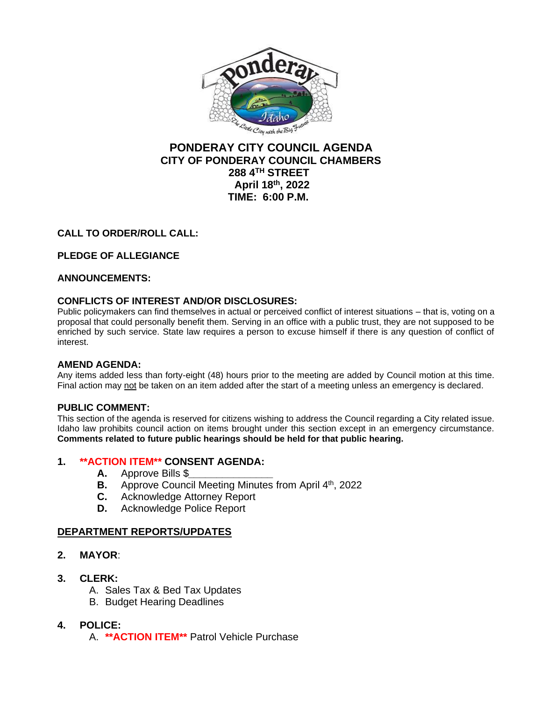

# **PONDERAY CITY COUNCIL AGENDA CITY OF PONDERAY COUNCIL CHAMBERS 288 4TH STREET April 18th, 2022 TIME: 6:00 P.M.**

## **CALL TO ORDER/ROLL CALL:**

## **PLEDGE OF ALLEGIANCE**

## **ANNOUNCEMENTS:**

## **CONFLICTS OF INTEREST AND/OR DISCLOSURES:**

Public policymakers can find themselves in actual or perceived conflict of interest situations – that is, voting on a proposal that could personally benefit them. Serving in an office with a public trust, they are not supposed to be enriched by such service. State law requires a person to excuse himself if there is any question of conflict of interest.

## **AMEND AGENDA:**

Any items added less than forty-eight (48) hours prior to the meeting are added by Council motion at this time. Final action may not be taken on an item added after the start of a meeting unless an emergency is declared.

## **PUBLIC COMMENT:**

This section of the agenda is reserved for citizens wishing to address the Council regarding a City related issue. Idaho law prohibits council action on items brought under this section except in an emergency circumstance. **Comments related to future public hearings should be held for that public hearing.**

## **1. \*\*ACTION ITEM\*\* CONSENT AGENDA:**

- **A.** Approve Bills \$*\_\_\_\_\_\_\_\_\_\_\_\_\_\_\_*
- **B.** Approve Council Meeting Minutes from April 4<sup>th</sup>, 2022
- **C.** Acknowledge Attorney Report
- **D.** Acknowledge Police Report

## **DEPARTMENT REPORTS/UPDATES**

- **2. MAYOR**:
- **3. CLERK:**
	- A. Sales Tax & Bed Tax Updates
	- B. Budget Hearing Deadlines

## **4. POLICE:**

A. **\*\*ACTION ITEM\*\*** Patrol Vehicle Purchase